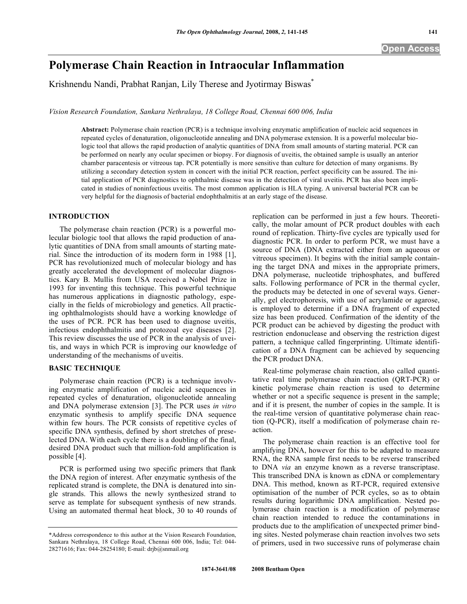# **Polymerase Chain Reaction in Intraocular Inflammation**

Krishnendu Nandi, Prabhat Ranjan, Lily Therese and Jyotirmay Biswas<sup>\*</sup>

*Vision Research Foundation, Sankara Nethralaya, 18 College Road, Chennai 600 006, India* 

**Abstract:** Polymerase chain reaction (PCR) is a technique involving enzymatic amplification of nucleic acid sequences in repeated cycles of denaturation, oligonucleotide annealing and DNA polymerase extension. It is a powerful molecular biologic tool that allows the rapid production of analytic quantities of DNA from small amounts of starting material. PCR can be performed on nearly any ocular specimen or biopsy. For diagnosis of uveitis, the obtained sample is usually an anterior chamber paracentesis or vitreous tap. PCR potentially is more sensitive than culture for detection of many organisms. By utilizing a secondary detection system in concert with the initial PCR reaction, perfect specificity can be assured. The initial application of PCR diagnostics to ophthalmic disease was in the detection of viral uveitis. PCR has also been implicated in studies of noninfectious uveitis. The most common application is HLA typing. A universal bacterial PCR can be very helpful for the diagnosis of bacterial endophthalmitis at an early stage of the disease.

## **INTRODUCTION**

 The polymerase chain reaction (PCR) is a powerful molecular biologic tool that allows the rapid production of analytic quantities of DNA from small amounts of starting material. Since the introduction of its modern form in 1988 [1], PCR has revolutionized much of molecular biology and has greatly accelerated the development of molecular diagnostics. Kary B. Mullis from USA received a Nobel Prize in 1993 for inventing this technique. This powerful technique has numerous applications in diagnostic pathology, especially in the fields of microbiology and genetics. All practicing ophthalmologists should have a working knowledge of the uses of PCR. PCR has been used to diagnose uveitis, infectious endophthalmitis and protozoal eye diseases [2]. This review discusses the use of PCR in the analysis of uveitis, and ways in which PCR is improving our knowledge of understanding of the mechanisms of uveitis.

#### **BASIC TECHNIQUE**

 Polymerase chain reaction (PCR) is a technique involving enzymatic amplification of nucleic acid sequences in repeated cycles of denaturation, oligonucleotide annealing and DNA polymerase extension [3]. The PCR uses *in vitro* enzymatic synthesis to amplify specific DNA sequence within few hours. The PCR consists of repetitive cycles of specific DNA synthesis, defined by short stretches of preselected DNA. With each cycle there is a doubling of the final, desired DNA product such that million-fold amplification is possible [4].

 PCR is performed using two specific primers that flank the DNA region of interest. After enzymatic synthesis of the replicated strand is complete, the DNA is denatured into single strands. This allows the newly synthesized strand to serve as template for subsequent synthesis of new strands. Using an automated thermal heat block, 30 to 40 rounds of replication can be performed in just a few hours. Theoretically, the molar amount of PCR product doubles with each round of replication. Thirty-five cycles are typically used for diagnostic PCR. In order to perform PCR, we must have a source of DNA (DNA extracted either from an aqueous or vitreous specimen). It begins with the initial sample containing the target DNA and mixes in the appropriate primers, DNA polymerase, nucleotide triphosphates, and buffered salts. Following performance of PCR in the thermal cycler, the products may be detected in one of several ways. Generally, gel electrophoresis, with use of acrylamide or agarose, is employed to determine if a DNA fragment of expected size has been produced. Confirmation of the identity of the PCR product can be achieved by digesting the product with restriction endonuclease and observing the restriction digest pattern, a technique called fingerprinting. Ultimate identification of a DNA fragment can be achieved by sequencing the PCR product DNA.

 Real-time polymerase chain reaction, also called quantitative real time polymerase chain reaction (QRT-PCR) or kinetic polymerase chain reaction is used to determine whether or not a specific sequence is present in the sample; and if it is present, the number of copies in the sample. It is the real-time version of quantitative polymerase chain reaction (Q-PCR), itself a modification of polymerase chain reaction.

 The polymerase chain reaction is an effective tool for amplifying DNA, however for this to be adapted to measure RNA, the RNA sample first needs to be reverse transcribed to DNA *via* an enzyme known as a reverse transcriptase. This transcribed DNA is known as cDNA or complementary DNA. This method, known as RT-PCR, required extensive optimisation of the number of PCR cycles, so as to obtain results during logarithmic DNA amplification. Nested polymerase chain reaction is a modification of polymerase chain reaction intended to reduce the contaminations in products due to the amplification of unexpected primer binding sites. Nested polymerase chain reaction involves two sets of primers, used in two successive runs of polymerase chain

<sup>\*</sup>Address correspondence to this author at the Vision Research Foundation, Sankara Nethralaya, 18 College Road, Chennai 600 006, India; Tel: 044- 28271616; Fax: 044-28254180; E-mail: drjb@snmail.org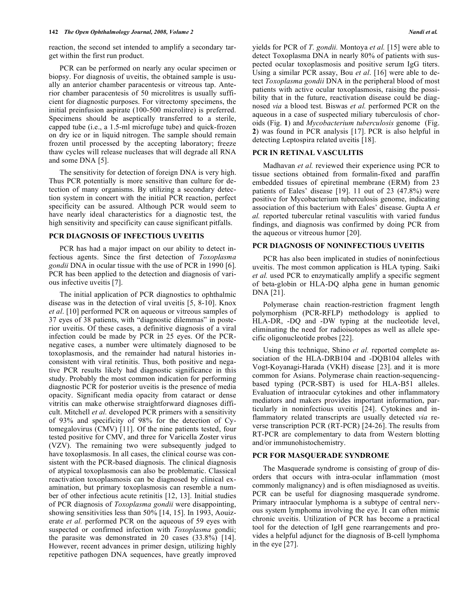reaction, the second set intended to amplify a secondary target within the first run product.

 PCR can be performed on nearly any ocular specimen or biopsy. For diagnosis of uveitis, the obtained sample is usually an anterior chamber paracentesis or vitreous tap. Anterior chamber paracentesis of 50 microlitres is usually sufficient for diagnostic purposes. For vitrectomy specimens, the initial preinfusion aspirate (100-500 microlitre) is preferred. Specimens should be aseptically transferred to a sterile, capped tube (i.e., a 1.5-ml microfuge tube) and quick-frozen on dry ice or in liquid nitrogen. The sample should remain frozen until processed by the accepting laboratory; freeze thaw cycles will release nucleases that will degrade all RNA and some DNA [5].

 The sensitivity for detection of foreign DNA is very high. Thus PCR potentially is more sensitive than culture for detection of many organisms. By utilizing a secondary detection system in concert with the initial PCR reaction, perfect specificity can be assured. Although PCR would seem to have nearly ideal characteristics for a diagnostic test, the high sensitivity and specificity can cause significant pitfalls.

#### **PCR DIAGNOSIS OF INFECTIOUS UVEITIS**

 PCR has had a major impact on our ability to detect infectious agents. Since the first detection of *Toxoplasma gondii* DNA in ocular tissue with the use of PCR in 1990 [6]. PCR has been applied to the detection and diagnosis of various infective uveitis [7].

 The initial application of PCR diagnostics to ophthalmic disease was in the detection of viral uveitis [5, 8-10]. Knox *et al*. [10] performed PCR on aqueous or vitreous samples of 37 eyes of 38 patients, with "diagnostic dilemmas" in posterior uveitis. Of these cases, a definitive diagnosis of a viral infection could be made by PCR in 25 eyes. Of the PCRnegative cases, a number were ultimately diagnosed to be toxoplasmosis, and the remainder had natural histories inconsistent with viral retinitis. Thus, both positive and negative PCR results likely had diagnostic significance in this study. Probably the most common indication for performing diagnostic PCR for posterior uveitis is the presence of media opacity. Significant media opacity from cataract or dense vitritis can make otherwise straightforward diagnoses difficult. Mitchell *et al.* developed PCR primers with a sensitivity of 93% and specificity of 98% for the detection of Cytomegalovirus (CMV) [11]. Of the nine patients tested, four tested positive for CMV, and three for Varicella Zoster virus (VZV). The remaining two were subsequently judged to have toxoplasmosis. In all cases, the clinical course was consistent with the PCR-based diagnosis. The clinical diagnosis of atypical toxoplasmosis can also be problematic. Classical reactivation toxoplasmosis can be diagnosed by clinical examination, but primary toxoplasmosis can resemble a number of other infectious acute retinitis [12, 13]. Initial studies of PCR diagnosis of *Toxoplasma gondii* were disappointing, showing sensitivities less than 50% [14, 15]. In 1993, Aouizerate *et al.* performed PCR on the aqueous of 59 eyes with suspected or confirmed infection with *Toxoplasma* gondii; the parasite was demonstrated in 20 cases (33.8%) [14]. However, recent advances in primer design, utilizing highly repetitive pathogen DNA sequences, have greatly improved

yields for PCR of *T. gondii.* Montoya *et al.* [15] were able to detect Toxoplasma DNA in nearly 80% of patients with suspected ocular toxoplasmosis and positive serum IgG titers. Using a similar PCR assay, Bou *et al*. [16] were able to detect *Toxoplasma gondii* DNA in the peripheral blood of most patients with active ocular toxoplasmosis, raising the possibility that in the future, reactivation disease could be diagnosed *via* a blood test. Biswas *et al.* performed PCR on the aqueous in a case of suspected miliary tuberculosis of choroids (Fig. **1**) and *Mycobacterium tuberculosis* genome (Fig. **2**) was found in PCR analysis [17]. PCR is also helpful in detecting Leptospira related uveitis [18].

#### **PCR IN RETINAL VASCULITIS**

 Madhavan *et al.* reviewed their experience using PCR to tissue sections obtained from formalin-fixed and paraffin embedded tissues of epiretinal membrane (ERM) from 23 patients of Eales' disease [19]. 11 out of 23 (47.8%) were positive for Mycobacterium tuberculosis genome, indicating association of this bacterium with Eales' disease. Gupta A *et al.* reported tubercular retinal vasculitis with varied fundus findings, and diagnosis was confirmed by doing PCR from the aqueous or vitreous humor [20].

#### **PCR DIAGNOSIS OF NONINFECTIOUS UVEITIS**

 PCR has also been implicated in studies of noninfectious uveitis. The most common application is HLA typing. Saiki *et al.* used PCR to enzymatically amplify a specific segment of beta-globin or HLA-DQ alpha gene in human genomic DNA [21].

 Polymerase chain reaction-restriction fragment length polymorphism (PCR-RFLP) methodology is applied to HLA-DR, -DQ and -DW typing at the nucleotide level, eliminating the need for radioisotopes as well as allele specific oligonucleotide probes [22].

 Using this technique, Shino *et al.* reported complete association of the HLA-DRB104 and -DQB104 alleles with Vogt-Koyanagi-Harada (VKH) disease [23]. and it is more common for Asians. Polymerase chain reaction-sequencingbased typing (PCR-SBT) is used for HLA-B51 alleles. Evaluation of intraocular cytokines and other inflammatory mediators and makers provides important information, particularly in noninfectious uveitis [24]. Cytokines and inflammatory related transcripts are usually detected *via* reverse transcription PCR (RT-PCR) [24-26]. The results from RT-PCR are complementary to data from Western blotting and/or immunohistochemistry.

#### **PCR FOR MASQUERADE SYNDROME**

 The Masquerade syndrome is consisting of group of disorders that occurs with intra-ocular inflammation (most commonly malignancy) and is often misdiagnosed as uveitis. PCR can be useful for diagnosing masquerade syndrome. Primary intraocular lymphoma is a subtype of central nervous system lymphoma involving the eye. It can often mimic chronic uveitis. Utilization of PCR has become a practical tool for the detection of IgH gene rearrangements and provides a helpful adjunct for the diagnosis of B-cell lymphoma in the eye [27].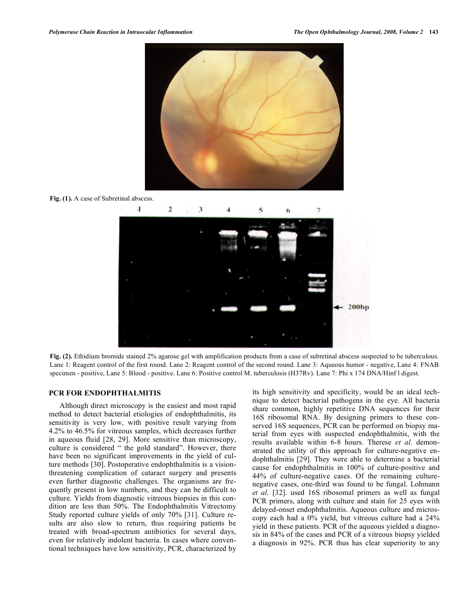

**Fig. (1).** A case of Subretinal abscess.



Fig. (2). Ethidium bromide stained 2% agarose gel with amplification products from a case of subretinal abscess suspected to be tuberculous. Lane 1: Reagent control of the first round. Lane 2: Reagent control of the second round. Lane 3: Aqueous humor - negative, Lane 4: FNAB specimen - positive, Lane 5: Blood - positive. Lane 6: Positive control M. tuberculosis (H37Rv). Lane 7: Phi x 174 DNA/Hinf l digest.

### **PCR FOR ENDOPHTHALMITIS**

 Although direct microscopy is the easiest and most rapid method to detect bacterial etiologies of endophthalmitis, its sensitivity is very low, with positive result varying from 4.2% to 46.5% for vitreous samples, which decreases further in aqueous fluid [28, 29]. More sensitive than microscopy, culture is considered " the gold standard". However, there have been no significant improvements in the yield of culture methods [30]. Postoperative endophthalmitis is a visionthreatening complication of cataract surgery and presents even further diagnostic challenges. The organisms are frequently present in low numbers, and they can be difficult to culture. Yields from diagnostic vitreous biopsies in this condition are less than 50%. The Endophthalmitis Vitrectomy Study reported culture yields of only 70% [31]. Culture results are also slow to return, thus requiring patients be treated with broad-spectrum antibiotics for several days, even for relatively indolent bacteria. In cases where conventional techniques have low sensitivity, PCR, characterized by its high sensitivity and specificity, would be an ideal technique to detect bacterial pathogens in the eye. All bacteria share common, highly repetitive DNA sequences for their 16S ribosomal RNA. By designing primers to these conserved 16S sequences, PCR can be performed on biopsy material from eyes with suspected endophthalmitis, with the results available within 6-8 hours. Therese *et al.* demonstrated the utility of this approach for culture-negative endophthalmitis [29]. They were able to determine a bacterial cause for endophthalmitis in 100% of culture-positive and 44% of culture-negative cases. Of the remaining culturenegative cases, one-third was found to be fungal. Lohmann *et al.* [32]. used 16S ribosomal primers as well as fungal PCR primers, along with culture and stain for 25 eyes with delayed-onset endophthalmitis. Aqueous culture and microscopy each had a 0% yield, but vitreous culture had a 24% yield in these patients. PCR of the aqueous yielded a diagnosis in 84% of the cases and PCR of a vitreous biopsy yielded a diagnosis in 92%. PCR thus has clear superiority to any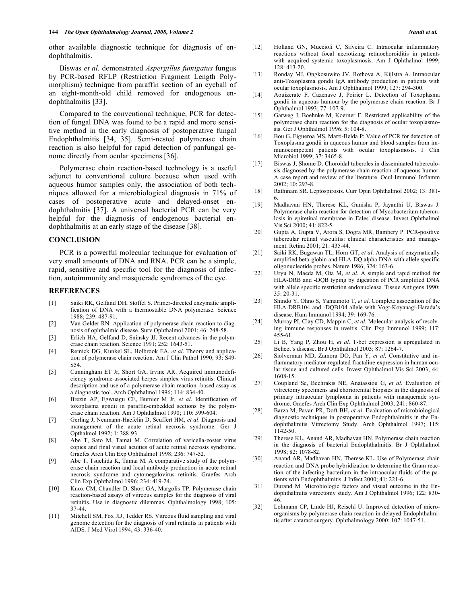other available diagnostic technique for diagnosis of endophthalmitis.

 Biswas *et al.* demonstrated *Aspergillus fumigatus* fungus by PCR-based RFLP (Restriction Fragment Length Polymorphism) technique from paraffin section of an eyeball of an eight-month-old child removed for endogenous endophthalmitis [33].

 Compared to the conventional technique, PCR for detection of fungal DNA was found to be a rapid and more sensitive method in the early diagnosis of postoperative fungal Endophthalmitis [34, 35]. Semi-nested polymerase chain reaction is also helpful for rapid detection of panfungal genome directly from ocular specimens [36].

 Polymerase chain reaction-based technology is a useful adjunct to conventional culture because when used with aqueous humor samples only, the association of both techniques allowed for a microbiological diagnosis in 71% of cases of postoperative acute and delayed-onset endophthalmitis [37]. A universal bacterial PCR can be very helpful for the diagnosis of endogenous bacterial endophthalmitis at an early stage of the disease [38].

### **CONCLUSION**

 PCR is a powerful molecular technique for evaluation of very small amounts of DNA and RNA. PCR can be a simple, rapid, sensitive and specific tool for the diagnosis of infection, autoimmunity and masquerade syndromes of the eye.

#### **REFERENCES**

- [1] Saiki RK, Gelfand DH, Stoffel S. Primer-directed enzymatic amplification of DNA with a thermostable DNA polymerase. Science 1988; 239: 487-91.
- [2] Van Gelder RN. Application of polymerase chain reaction to diagnosis of ophthalmic disease. Surv Ophthalmol 2001; 46: 248-58.
- [3] Erlich HA, Gelfand D, Sninsky JJ. Recent advances in the polymerase chain reaction. Science 1991; 252: 1643-51.
- [4] Remick DG, Kunkel SL, Holbrook EA, *et al*. Theory and application of polymerase chain reaction. Am J Clin Pathol 1990; 93: S49- S54.
- [5] Cunningham ET Jr, Short GA, Irvine AR. Acquired immunodeficiency syndrome-associated herpes simplex virus retinitis. Clinical description and use of a polymerase chain reaction -based assay as a diagnostic tool. Arch Ophthalmol 1996; 114: 834-40.
- [6] Brezin AP, Egwuagu CE, Burnier M Jr, *et al*. Identification of toxoplasma gondii in paraffin-embedded sections by the polymerase chain reaction. Am J Ophthalmol 1990; 110: 599-604.
- [7] Gerling J, Neumann-Haefelin D, Seuffert HM, *et al*. Diagnosis and management of the acute retinal necrosis syndrome. Ger J Opthalmol 1992; 1: 388-93.
- [8] Abe T, Sato M, Tamai M. Correlation of varicella-zoster virus copies and final visual acuities of acute retinal necrosis syndrome. Graefes Arch Clin Exp Ophthalmol 1998; 236: 747-52.
- [9] Abe T, Tsuchida K, Tamai M. A comparative study of the polymerase chain reaction and local antibody production in acute retinal necrosis syndrome and cytomegalovirus retinitis. Graefes Arch Clin Exp Ophthalmol 1996; 234: 419-24.
- [10] Knox CM, Chandler D, Short GA, Margolis TP. Polymerase chain reaction-based assays of vitreous samples for the diagnosis of viral retinitis. Use in diagnostic dilemmas. Ophthalmology 1998; 105: 37-44.
- [11] Mitchell SM, Fox JD, Tedder RS. Vitreous fluid sampling and viral genome detection for the diagnosis of viral retinitis in patients with AIDS. J Med Virol 1994; 43: 336-40.
- [12] Holland GN, Muccioli C, Silveira C. Intraocular inflammatory reactions without focal necrotizing retinochoroiditis in patients with acquired systemic toxoplasmosis. Am J Ophthalmol 1999; 128: 413-20.
- [13] Ronday MJ, Ongkosuwito JV, Rothova A, Kijlstra A. Intraocular anti-Toxoplasma gondii IgA antibody production in patients with ocular toxoplasmosis. Am J Ophthalmol 1999; 127: 294-300.
- [14] Aouizerate F, Cazenave J, Poirier L. Detection of Toxoplasma gondii in aqueous humour by the polymerase chain reaction. Br J Ophthalmol 1993; 77: 107-9.
- [15] Garweg J, Boehnke M, Koerner F. Restricted applicability of the polymerase chain reaction for the diagnosis of ocular toxoplasmosis. Ger J Ophthalmol 1996; 5: 104-8.
- [16] Bou G, Figueroa MS, Marti-Belda P: Value of PCR for detection of Toxoplasma gondii in aqueous humor and blood samples from immunocompetent patients with ocular toxoplasmosis. J Clin Microbiol 1999; 37: 3465-8.
- [17] Biswas J, Shome D. Choroidal tubercles in disseminated tuberculosis diagnosed by the polymerase chain reaction of aqueous humor. A case report and review of the literature. Ocul Immunol Inflamm 2002; 10: 293-8.
- [18] Rathinam SR. Leptospirosis. Curr Opin Ophthalmol 2002; 13: 381-6.
- [19] Madhavan HN, Therese KL, Gunisha P, Jayanthi U, Biswas J. Polymerase chain reaction for detection of Mycobacterium tuberculosis in epiretinal membrane in Eales' disease. Invest Ophthalmol Vis Sci 2000; 41: 822-5.
- [20] Gupta A, Gupta V, Arora S, Dogra MR, Bambery P. PCR-positive tubercular retinal vasculitis: clinical characteristics and management. Retina 2001; 21: 435-44.
- [21] Saiki RK, Bugawan TL, Horn GT, *et al*. Analysis of enzymatically amplified beta-globin and HLA-DQ alpha DNA with allele specific oligonucleotide probes. Nature 1986; 324: 163-6.
- [22] Uryu N, Maeda M, Ota M, *et al*. A simple and rapid method for HLA-DRB and -DQB typing by digestion of PCR amplified DNA with allele specific restriction endonuclease. Tissue Antigens 1990; 35: 20-31.
- [23] Shindo Y, Ohno S, Yamamoto T, *et al*. Complete association of the HLA-DRB104 and -DQB104 allele with Vogt-Koyanagi-Harada's disease. Hum Immunol 1994; 39: 169-76.
- [24] Murray PI, Clay CD, Mappin C, *et al*. Molecular analysis of resolving immune responses in uveitis. Clin Exp Immunol 1999; 117: 455-61.
- [25] Li B, Yang P, Zhou H, *et al*. T-bet expression is upregulated in Behcet's disease. Br J Ophthalmol 2003; 87: 1264-7.
- [26] Siolverman MD, Zamora DO, Pan Y, *et al*. Constitutive and inflammatory mediator-regulated fractaline expression in human ocular tissue and cultured cells. Invest Ophthalmol Vis Sci 2003; 44: 1608-15.
- [27] Coupland Se, Bechrakis NE, Anatassiou G, *et al*. Evaluation of vitrectomy specimens and choriorenital biopsies in the diagnosis of primary intraocular lymphoma in patients with masquerade syndrome. Graefes Arch Clin Exp Ophthalmol 2003; 241: 860-87.
- [28] Barza M, Pavan PR, Doft BH, *et al*. Evaluation of microbiological diagnostic techniques in postoperative Endophthalmitis in the Endophthalmitis Vitrectomy Study. Arch Ophthalmol 1997; 115: 1142-50.
- [29] Therese KL, Anand AR, Madhavan HN. Polymerase chain reaction in the diagnosis of bacterial Endophthalmitis. Br J Ophthalmol 1998; 82: 1078-82.
- [30] Anand AR, Madhavan HN, Therese KL. Use of Polymerase chain reaction and DNA probe hybridization to determine the Gram reaction of the infecting bacterium in the intraocular fluids of the patients with Endophthalmitis. J Infect 2000; 41: 221-6.
- [31] Durand M. Microbiologic factors and visual outcome in the Endophthalmitis vitrectomy study. Am J Ophthalmol 1996; 122: 830- 46.
- [32] Lohmann CP, Linde HJ, Reischl U. Improved detection of microorganisms by polymerase chain reaction in delayed Endophthalmitis after cataract surgery. Ophthalmology 2000; 107: 1047-51.